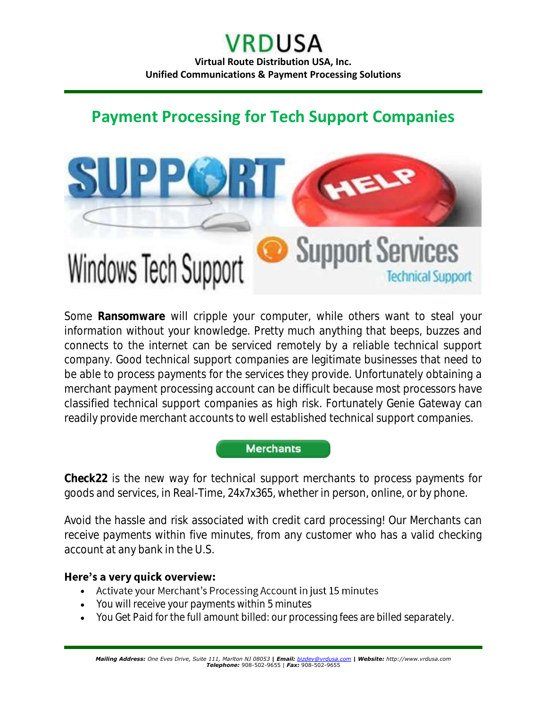# **Payment Processing for Tech Support Companies**



Some **Ransomware** will cripple your computer, while others want to steal your information without your knowledge. Pretty much anything that beeps, buzzes and connects to the internet can be serviced remotely by a reliable technical support company. Good technical support companies are legitimate businesses that need to be able to process payments for the services they provide. Unfortunately obtaining a merchant payment processing account can be difficult because most processors have classified technical support companies as high risk. Fortunately Genie Gateway can readily provide merchant accounts to well established technical support companies.



**Check22** is the new way for technical support merchants to process payments for goods and services, in Real-Time, 24x7x365, whether in person, online, or by phone.

Avoid the hassle and risk associated with credit card processing! Our Merchants can receive payments within five minutes, from any customer who has a valid checking account at any bank in the U.S.

#### Here's a very quick overview:

- Activate your Merchant's Processing Account in just 15 minutes
- You will receive your payments within 5 minutes
- You Get Paid for the full amount billed: our processing fees are billed separately.